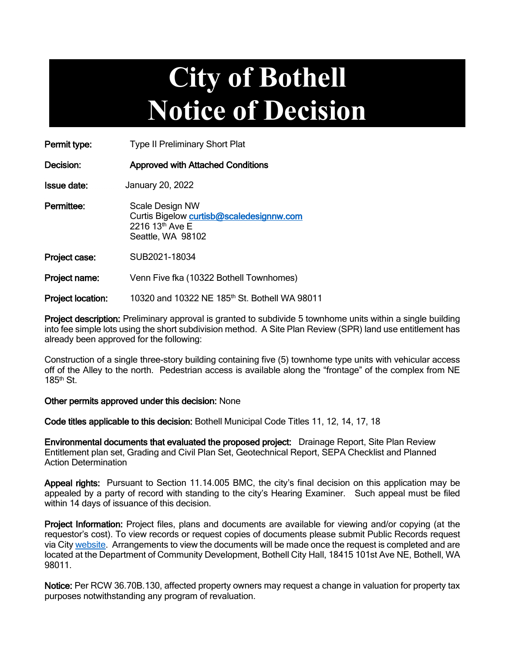# **City of Bothell Notice of Decision**

Permit type: Type II Preliminary Short Plat

Decision: Approved with Attached Conditions

Issue date: January 20, 2022

Permittee: Scale Design NW Curtis Bigelow [curtisb@scaledesignnw.com](mailto:curtisb@scaledesignnw.com) 2216 13th Ave E Seattle, WA 98102

Project case: SUB2021-18034

Project name: Venn Five fka (10322 Bothell Townhomes)

Project location: 10320 and 10322 NE 185<sup>th</sup> St. Bothell WA 98011

Project description: Preliminary approval is granted to subdivide 5 townhome units within a single building into fee simple lots using the short subdivision method. A Site Plan Review (SPR) land use entitlement has already been approved for the following:

Construction of a single three-story building containing five (5) townhome type units with vehicular access off of the Alley to the north. Pedestrian access is available along the "frontage" of the complex from NE  $185<sup>th</sup>$  St.

#### Other permits approved under this decision: None

Code titles applicable to this decision: Bothell Municipal Code Titles 11, 12, 14, 17, 18

Environmental documents that evaluated the proposed project: Drainage Report, Site Plan Review Entitlement plan set, Grading and Civil Plan Set, Geotechnical Report, SEPA Checklist and Planned Action Determination

Appeal rights: Pursuant to Section 11.14.005 BMC, the city's final decision on this application may be appealed by a party of record with standing to the city's Hearing Examiner. Such appeal must be filed within 14 days of issuance of this decision.

Project Information: Project files, plans and documents are available for viewing and/or copying (at the requestor's cost). To view records or request copies of documents please submit Public Records request via Cit[y website.](https://bothellwa.mycusthelp.com/WEBAPP/_rs/(S(knqobczqfr1ok2lkrb0kusxt))/SupportHome.aspx?sSessionID=&lp=2) Arrangements to view the documents will be made once the request is completed and are located at the Department of Community Development, Bothell City Hall, 18415 101st Ave NE, Bothell, WA 98011.

Notice: Per RCW 36.70B.130, affected property owners may request a change in valuation for property tax purposes notwithstanding any program of revaluation.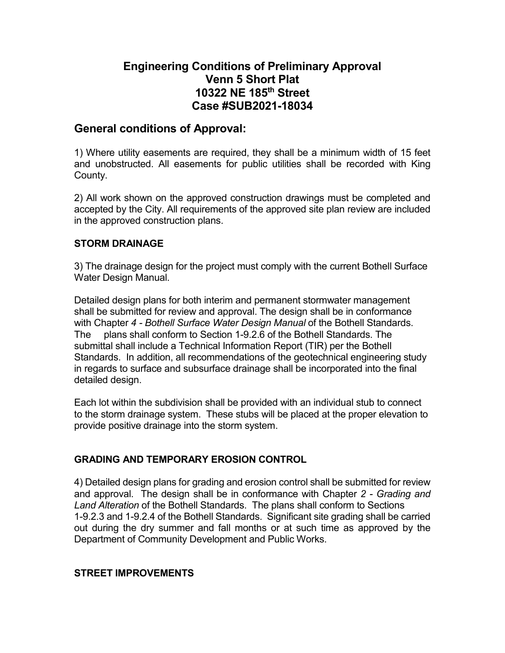## **Engineering Conditions of Preliminary Approval Venn 5 Short Plat 10322 NE 185th Street Case #SUB2021-18034**

#### **General conditions of Approval:**

1) Where utility easements are required, they shall be a minimum width of 15 feet and unobstructed. All easements for public utilities shall be recorded with King County.

2) All work shown on the approved construction drawings must be completed and accepted by the City. All requirements of the approved site plan review are included in the approved construction plans.

#### **STORM DRAINAGE**

3) The drainage design for the project must comply with the current Bothell Surface Water Design Manual.

Detailed design plans for both interim and permanent stormwater management shall be submitted for review and approval. The design shall be in conformance with Chapter *4 - Bothell Surface Water Design Manual* of the Bothell Standards. The plans shall conform to Section 1-9.2.6 of the Bothell Standards. The submittal shall include a Technical Information Report (TIR) per the Bothell Standards. In addition, all recommendations of the geotechnical engineering study in regards to surface and subsurface drainage shall be incorporated into the final detailed design.

Each lot within the subdivision shall be provided with an individual stub to connect to the storm drainage system. These stubs will be placed at the proper elevation to provide positive drainage into the storm system.

#### **GRADING AND TEMPORARY EROSION CONTROL**

4) Detailed design plans for grading and erosion control shall be submitted for review and approval. The design shall be in conformance with Chapter *2 - Grading and Land Alteration* of the Bothell Standards. The plans shall conform to Sections 1-9.2.3 and 1-9.2.4 of the Bothell Standards. Significant site grading shall be carried out during the dry summer and fall months or at such time as approved by the Department of Community Development and Public Works.

#### **STREET IMPROVEMENTS**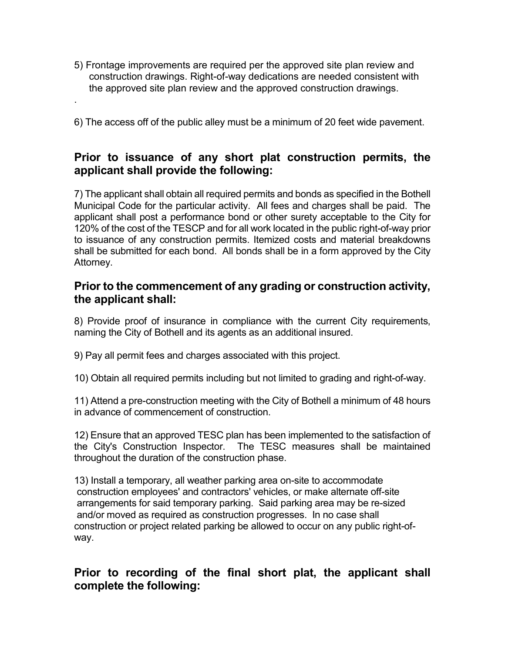5) Frontage improvements are required per the approved site plan review and construction drawings. Right-of-way dedications are needed consistent with the approved site plan review and the approved construction drawings.

.

6) The access off of the public alley must be a minimum of 20 feet wide pavement.

## **Prior to issuance of any short plat construction permits, the applicant shall provide the following:**

7) The applicant shall obtain all required permits and bonds as specified in the Bothell Municipal Code for the particular activity. All fees and charges shall be paid. The applicant shall post a performance bond or other surety acceptable to the City for 120% of the cost of the TESCP and for all work located in the public right-of-way prior to issuance of any construction permits. Itemized costs and material breakdowns shall be submitted for each bond. All bonds shall be in a form approved by the City Attorney.

#### **Prior to the commencement of any grading or construction activity, the applicant shall:**

8) Provide proof of insurance in compliance with the current City requirements, naming the City of Bothell and its agents as an additional insured.

9) Pay all permit fees and charges associated with this project.

10) Obtain all required permits including but not limited to grading and right-of-way.

11) Attend a pre-construction meeting with the City of Bothell a minimum of 48 hours in advance of commencement of construction.

12) Ensure that an approved TESC plan has been implemented to the satisfaction of the City's Construction Inspector. The TESC measures shall be maintained throughout the duration of the construction phase.

13) Install a temporary, all weather parking area on-site to accommodate construction employees' and contractors' vehicles, or make alternate off-site arrangements for said temporary parking. Said parking area may be re-sized and/or moved as required as construction progresses. In no case shall construction or project related parking be allowed to occur on any public right-ofway.

## **Prior to recording of the final short plat, the applicant shall complete the following:**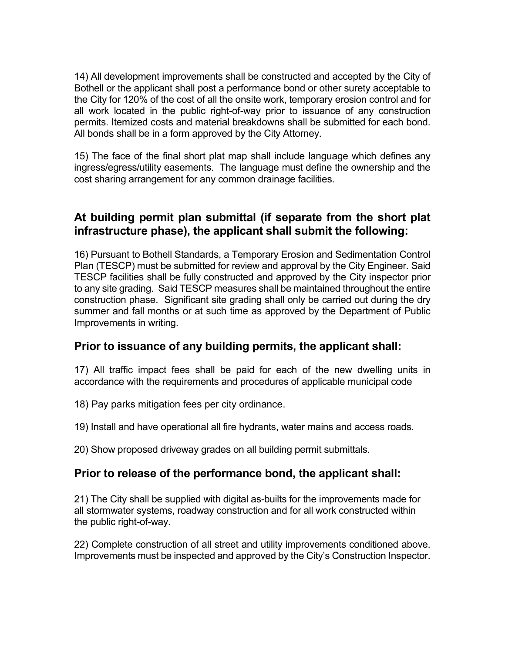14) All development improvements shall be constructed and accepted by the City of Bothell or the applicant shall post a performance bond or other surety acceptable to the City for 120% of the cost of all the onsite work, temporary erosion control and for all work located in the public right-of-way prior to issuance of any construction permits. Itemized costs and material breakdowns shall be submitted for each bond. All bonds shall be in a form approved by the City Attorney.

15) The face of the final short plat map shall include language which defines any ingress/egress/utility easements. The language must define the ownership and the cost sharing arrangement for any common drainage facilities.

## **At building permit plan submittal (if separate from the short plat infrastructure phase), the applicant shall submit the following:**

16) Pursuant to Bothell Standards, a Temporary Erosion and Sedimentation Control Plan (TESCP) must be submitted for review and approval by the City Engineer. Said TESCP facilities shall be fully constructed and approved by the City inspector prior to any site grading. Said TESCP measures shall be maintained throughout the entire construction phase. Significant site grading shall only be carried out during the dry summer and fall months or at such time as approved by the Department of Public Improvements in writing.

## **Prior to issuance of any building permits, the applicant shall:**

17) All traffic impact fees shall be paid for each of the new dwelling units in accordance with the requirements and procedures of applicable municipal code

18) Pay parks mitigation fees per city ordinance.

19) Install and have operational all fire hydrants, water mains and access roads.

20) Show proposed driveway grades on all building permit submittals.

## **Prior to release of the performance bond, the applicant shall:**

21) The City shall be supplied with digital as-builts for the improvements made for all stormwater systems, roadway construction and for all work constructed within the public right-of-way.

22) Complete construction of all street and utility improvements conditioned above. Improvements must be inspected and approved by the City's Construction Inspector.